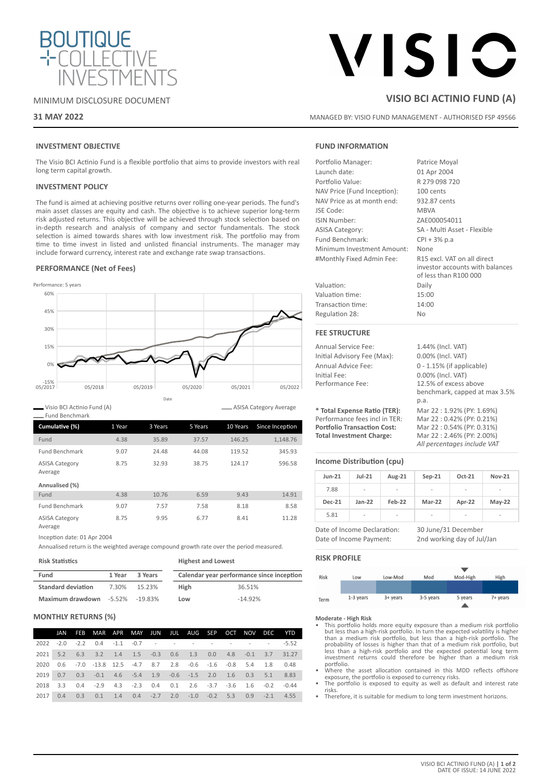

# MINIMUM DISCLOSURE DOCUMENT

# **31 MAY 2022**

# VISIC

# **VISIO BCI ACTINIO FUND (A)**

MANAGED BY: VISIO FUND MANAGEMENT - AUTHORISED FSP 49566

# **INVESTMENT OBJECTIVE**

The Visio BCI Actinio Fund is a flexible portfolio that aims to provide investors with real long term capital growth.

# **INVESTMENT POLICY**

The fund is aimed at achieving positive returns over rolling one-year periods. The fund's main asset classes are equity and cash. The objective is to achieve superior long-term risk adjusted returns. This objective will be achieved through stock selection based on in-depth research and analysis of company and sector fundamentals. The stock selection is aimed towards shares with low investment risk. The portfolio may from time to time invest in listed and unlisted financial instruments. The manager may include forward currency, interest rate and exchange rate swap transactions.

### **PERFORMANCE (Net of Fees)**



Visio BCI Actinio Fund (A)

| Cumulative (%)                   | 1 Year | 3 Years | 5 Years | 10 Years | Since Inception |
|----------------------------------|--------|---------|---------|----------|-----------------|
| Fund                             | 4.38   | 35.89   | 37.57   | 146.25   | 1,148.76        |
| <b>Fund Benchmark</b>            | 9.07   | 24.48   | 44.08   | 119.52   | 345.93          |
| <b>ASISA Category</b><br>Average | 8.75   | 32.93   | 38.75   | 124.17   | 596.58          |
| Annualised (%)                   |        |         |         |          |                 |
| Fund                             | 4.38   | 10.76   | 6.59    | 9.43     | 14.91           |
| <b>Fund Benchmark</b>            | 9.07   | 7.57    | 7.58    | 8.18     | 8.58            |
| <b>ASISA Category</b><br>Average | 8.75   | 9.95    | 6.77    | 8.41     | 11.28           |

Inception date: 01 Apr 2004

Annualised return is the weighted average compound growth rate over the period measured.

| <b>Risk Statistics</b>    |        |                    | <b>Highest and Lowest</b> |                                           |  |  |
|---------------------------|--------|--------------------|---------------------------|-------------------------------------------|--|--|
| Fund                      | 1 Year | 3 Years            |                           | Calendar year performance since inception |  |  |
| <b>Standard deviation</b> | 7.30%  | 15.23%             | High                      | 36.51%                                    |  |  |
| Maximum drawdown          |        | $-5.52\% -19.83\%$ | Low                       | $-14.92%$                                 |  |  |

#### **MONTHLY RETURNS (%)**

|      | JAN | FEB MAR APR MAY JUN JUL AUG SEP OCT NOV DEC                                  |  |  |  |  | <b>YTD</b> |
|------|-----|------------------------------------------------------------------------------|--|--|--|--|------------|
|      |     |                                                                              |  |  |  |  |            |
|      |     | 2021 5.2 6.3 3.2 1.4 1.5 -0.3 0.6 1.3 0.0 4.8 -0.1 3.7 31.27                 |  |  |  |  |            |
| 2020 |     | $0.6$ -7.0 -13.8 12.5 -4.7 8.7 2.8 -0.6 -1.6 -0.8 5.4 1.8 0.48               |  |  |  |  |            |
|      |     | 2019  0.7  0.3  -0.1  4.6  -5.4  1.9  -0.6  -1.5  2.0  1.6  0.3  5.1  8.83   |  |  |  |  |            |
|      |     | 2018 3.3 0.4 -2.9 4.3 -2.3 0.4 0.1 2.6 -3.7 -3.6 1.6 -0.2 -0.44              |  |  |  |  |            |
| 2017 | 0.4 | $0.3$ $0.1$ $1.4$ $0.4$ $-2.7$ $2.0$ $-1.0$ $-0.2$ $5.3$ $0.9$ $-2.1$ $4.55$ |  |  |  |  |            |

# **FUND INFORMATION**

| Portfolio Manager:           | Patrice Moyal                                                                           |
|------------------------------|-----------------------------------------------------------------------------------------|
| Launch date:                 | 01 Apr 2004                                                                             |
| Portfolio Value:             | R 279 098 720                                                                           |
| NAV Price (Fund Inception):  | 100 cents                                                                               |
| NAV Price as at month end:   | 932.87 cents                                                                            |
| JSE Code:                    | <b>MBVA</b>                                                                             |
| ISIN Number:                 | ZAE000054011                                                                            |
| <b>ASISA Category:</b>       | SA - Multi Asset - Flexible                                                             |
| Fund Benchmark:              | $CPI + 3% p.a$                                                                          |
| Minimum Investment Amount:   | None                                                                                    |
| #Monthly Fixed Admin Fee:    | R15 excl. VAT on all direct<br>investor accounts with balances<br>of less than R100 000 |
| Valuation:                   | Daily                                                                                   |
| Valuation time:              | 15:00                                                                                   |
| Transaction time:            | 14:00                                                                                   |
| Regulation 28:               | N <sub>0</sub>                                                                          |
| <b>FEE STRUCTURE</b>         |                                                                                         |
| Annual Service Fee:          | 1.44% (Incl. VAT)                                                                       |
| Initial Advisory Fee (Max):  | 0.00% (Incl. VAT)                                                                       |
| Annual Advice Fee:           | $0 - 1.15%$ (if applicable)                                                             |
| Initial Fee:                 | 0.00% (Incl. VAT)                                                                       |
| Performance Fee:             | 12.5% of excess above                                                                   |
|                              |                                                                                         |
|                              | benchmark, capped at max 3.5%<br>p.a.                                                   |
| * Total Expense Ratio (TER): | Mar 22:1.92% (PY: 1.69%)                                                                |

**Portfolio Transaction Cost:** Mar 22 : 0.54% (PY: 0.31%) **Total Investment Charge:** Mar 22 : 2.46% (PY: 2.00%)

ASISA Category Average

# **Income Distribution (cpu)**

| <b>Jun-21</b>                                          | $Jul-21$ | Aug-21 | $Sep-21$                                          | Oct-21 | <b>Nov-21</b> |
|--------------------------------------------------------|----------|--------|---------------------------------------------------|--------|---------------|
| 7.88                                                   | ۰        |        |                                                   |        |               |
| <b>Dec-21</b>                                          | $Jan-22$ | Feb-22 | Mar-22                                            | Apr-22 | $May-22$      |
| 5.81                                                   | ۰        |        |                                                   |        |               |
| Date of Income Declaration:<br>Date of Income Payment: |          |        | 30 June/31 December<br>2nd working day of Jul/Jan |        |               |

*All percentages include VAT*

**RISK PROFILE**



**Moderate - High Risk**

- This portfolio holds more equity exposure than a medium risk portfolio but less than a high-risk portfolio. In turn the expected volatility is higher than a medium risk portfolio, but less than a high-risk portfolio. The probability of losses is higher than that of a medium risk portfolio, but less than a high-risk portfolio and the expected potential long term investment returns could therefore be higher than a medium risk portfolio.
- Where the asset allocation contained in this MDD reflects offshore exposure, the portfolio is exposed to currency risks. • The portfolio is exposed to equity as well as default and interest rate
- risks.
- Therefore, it is suitable for medium to long term investment horizons.